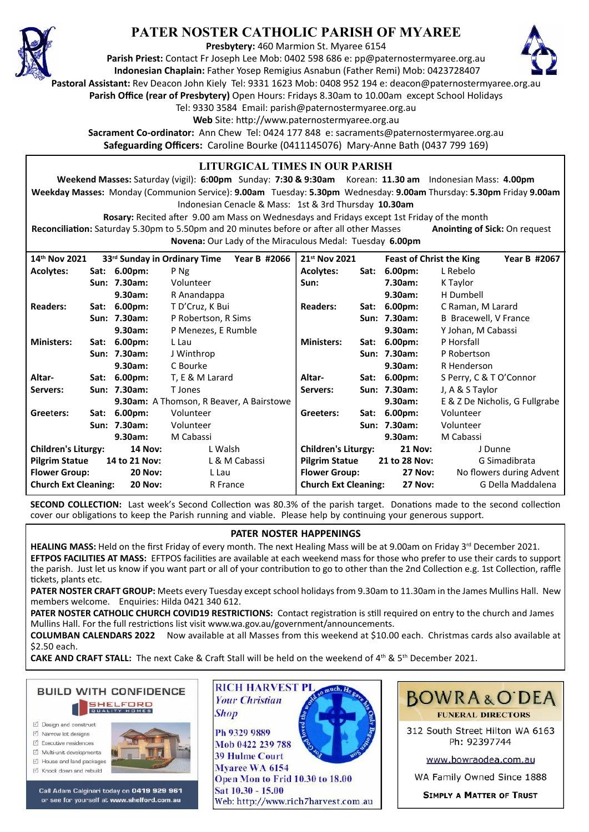

# **PATER NOSTER CATHOLIC PARISH OF MYAREE**

**Presbytery:** 460 Marmion St. Myaree 6154

**Parish Priest:** Contact Fr Joseph Lee Mob: 0402 598 686 e: pp@paternostermyaree.org.au **Indonesian Chaplain:** Father Yosep Remigius Asnabun (Father Remi) Mob: 0423728407



**Pastoral Assistant:** Rev Deacon John Kiely Tel: 9331 1623 Mob: 0408 952 194 e: deacon@paternostermyaree.org.au

**Parish Office (rear of Presbytery)** Open Hours: Fridays 8.30am to 10.00am except School Holidays

Tel: 9330 3584 Email: parish@paternostermyaree.org.au

Web Site: http://www.paternostermyaree.org.au

**Sacrament Co-ordinator:** Ann Chew Tel: 0424 177 848 e: sacraments@paternostermyaree.org.au **Safeguarding Officers:** Caroline Bourke (0411145076) Mary-Anne Bath (0437 799 169)

#### **LITURGICAL TIMES IN OUR PARISH**

**Weekend Masses:** Saturday (vigil): **6:00pm** Sunday: **7:30 & 9:30am** Korean: **11.30 am** Indonesian Mass: **4.00pm Weekday Masses:** Monday (Communion Service): **9.00am** Tuesday: **5.30pm** Wednesday: **9.00am** Thursday: **5.30pm** Friday **9.00am** Indonesian Cenacle & Mass: 1st & 3rd Thursday **10.30am**

**Rosary:** Recited a�er 9.00 am Mass on Wednesdays and Fridays except 1st Friday of the month Reconciliation: Saturday 5.30pm to 5.50pm and 20 minutes before or after all other Masses **Anointing of Sick:** On request **Novena:** Our Lady of the Miraculous Medal: Tuesday **6.00pm**

| 14th Nov 2021<br>33rd Sunday in Ordinary Time Year B #2066 |  |                |                     | 21 <sup>st</sup> Nov 2021   |      | <b>Feast of Christ the King</b> | Year B #2067                   |
|------------------------------------------------------------|--|----------------|---------------------|-----------------------------|------|---------------------------------|--------------------------------|
| <b>Acolytes:</b>                                           |  | Sat: 6.00pm:   | P Ng                | <b>Acolytes:</b>            | Sat: | $6.00pm$ :                      | L Rebelo                       |
|                                                            |  | Sun: 7.30am:   | Volunteer           | Sun:                        |      | 7.30am:                         | K Taylor                       |
|                                                            |  | 9.30am:        | R Anandappa         |                             |      | 9.30am:                         | H Dumbell                      |
| <b>Readers:</b>                                            |  | Sat: 6.00pm:   | T D'Cruz, K Bui     | <b>Readers:</b>             | Sat: | $6.00pm$ :                      | C Raman, M Larard              |
|                                                            |  | Sun: 7.30am:   | P Robertson, R Sims |                             |      | Sun: 7.30am:                    | B Bracewell, V France          |
|                                                            |  | 9.30am:        | P Menezes, E Rumble |                             |      | 9.30am:                         | Y Johan, M Cabassi             |
| <b>Ministers:</b>                                          |  | Sat: 6.00pm:   | L Lau               | <b>Ministers:</b>           |      | Sat: 6.00pm:                    | P Horsfall                     |
|                                                            |  | Sun: 7.30am:   | J Winthrop          |                             |      | Sun: 7.30am:                    | P Robertson                    |
|                                                            |  | 9.30am:        | C Bourke            |                             |      | 9.30am:                         | R Henderson                    |
| Altar-                                                     |  | Sat: 6.00pm:   | T, E & M Larard     | Altar-                      |      | Sat: 6.00pm:                    | S Perry, C & T O'Connor        |
| Servers:                                                   |  | Sun: 7.30am:   | T Jones             | Servers:                    |      | Sun: 7.30am:                    | J, A & S Taylor                |
| <b>9.30am:</b> A Thomson, R Beaver, A Bairstowe            |  |                |                     |                             |      | 9.30am:                         | E & Z De Nicholis, G Fullgrabe |
| Greeters:                                                  |  | Sat: 6.00pm:   | Volunteer           | Greeters:                   |      | Sat: 6.00pm:                    | Volunteer                      |
|                                                            |  | Sun: 7.30am:   | Volunteer           |                             |      | Sun: 7.30am:                    | Volunteer                      |
|                                                            |  | 9.30am:        | M Cabassi           |                             |      | 9.30am:                         | M Cabassi                      |
| <b>Children's Liturgy:</b>                                 |  | <b>14 Nov:</b> | L Walsh             | <b>Children's Liturgy:</b>  |      | <b>21 Nov:</b>                  | J Dunne                        |
| <b>Pilgrim Statue</b>                                      |  | 14 to 21 Nov:  | L & M Cabassi       | <b>Pilgrim Statue</b>       |      | 21 to 28 Nov:                   | G Simadibrata                  |
| <b>Flower Group:</b>                                       |  | <b>20 Nov:</b> | L Lau               | <b>Flower Group:</b>        |      | <b>27 Nov:</b>                  | No flowers during Advent       |
| <b>Church Ext Cleaning:</b><br><b>20 Nov:</b>              |  |                | R France            | <b>Church Ext Cleaning:</b> |      | <b>27 Nov:</b>                  | G Della Maddalena              |

**SECOND COLLECTION:** Last week's Second Collection was 80.3% of the parish target. Donations made to the second collection cover our obligations to keep the Parish running and viable. Please help by continuing your generous support.

### **PATER NOSTER HAPPENINGS**

HEALING MASS: Held on the first Friday of every month. The next Healing Mass will be at 9.00am on Friday 3<sup>rd</sup> December 2021. **EFTPOS FACILITIES AT MASS:** EFTPOS facili�es are available at each weekend mass for those who prefer to use their cards to support the parish. Just let us know if you want part or all of your contribution to go to other than the 2nd Collection e.g. 1st Collection, raffle �ckets, plants etc.

**PATER NOSTER CRAFT GROUP:** Meets every Tuesday except school holidays from 9.30am to 11.30am in the James Mullins Hall. New members welcome. Enquiries: Hilda 0421 340 612.

PATER NOSTER CATHOLIC CHURCH COVID19 RESTRICTIONS: Contact registration is still required on entry to the church and James Mullins Hall. For the full restrictions list visit www.wa.gov.au/government/announcements.

**COLUMBAN CALENDARS 2022** Now available at all Masses from this weekend at \$10.00 each. Christmas cards also available at \$2.50 each.

**CAKE AND CRAFT STALL:** The next Cake & Craft Stall will be held on the weekend of  $4<sup>th</sup>$  &  $5<sup>th</sup>$  December 2021.



- □ Design and construct
- $\triangledown$  Narrow lot designe
- $\triangledown$  Executive residences Multi-unit developments
- M House and land packages
- ☑ Knock down and rebuild



Call Adam Calginari today on 0419 929 961 or see for yourself at www.shelford.com.au



Mob 0422 239 788 **39 Hulme Court** Mvaree WA 6154 Open Mon to Frid 10.30 to 18.00 Sat 10.30 - 15.00 Web: http://www.rich7harvest.com.au



312 South Street Hilton WA 6163 Ph: 92397744

www.bowraodea.com.au

WA Family Owned Since 1888

**SIMPLY A MATTER OF TRUST**